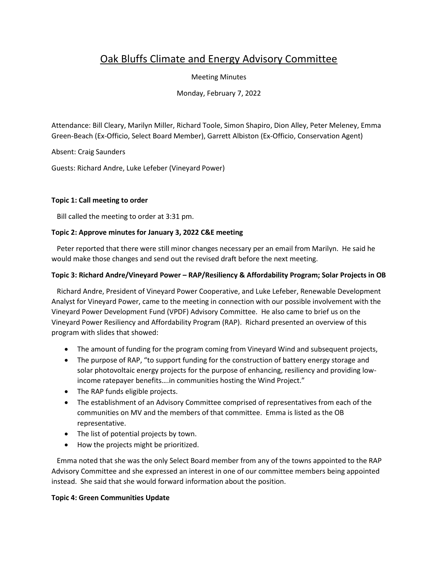# Oak Bluffs Climate and Energy Advisory Committee

Meeting Minutes

Monday, February 7, 2022

Attendance: Bill Cleary, Marilyn Miller, Richard Toole, Simon Shapiro, Dion Alley, Peter Meleney, Emma Green-Beach (Ex-Officio, Select Board Member), Garrett Albiston (Ex-Officio, Conservation Agent)

Absent: Craig Saunders

Guests: Richard Andre, Luke Lefeber (Vineyard Power)

#### **Topic 1: Call meeting to order**

Bill called the meeting to order at 3:31 pm.

## **Topic 2: Approve minutes for January 3, 2022 C&E meeting**

 Peter reported that there were still minor changes necessary per an email from Marilyn. He said he would make those changes and send out the revised draft before the next meeting.

#### **Topic 3: Richard Andre/Vineyard Power – RAP/Resiliency & Affordability Program; Solar Projects in OB**

 Richard Andre, President of Vineyard Power Cooperative, and Luke Lefeber, Renewable Development Analyst for Vineyard Power, came to the meeting in connection with our possible involvement with the Vineyard Power Development Fund (VPDF) Advisory Committee. He also came to brief us on the Vineyard Power Resiliency and Affordability Program (RAP). Richard presented an overview of this program with slides that showed:

- The amount of funding for the program coming from Vineyard Wind and subsequent projects,
- The purpose of RAP, "to support funding for the construction of battery energy storage and solar photovoltaic energy projects for the purpose of enhancing, resiliency and providing lowincome ratepayer benefits….in communities hosting the Wind Project."
- The RAP funds eligible projects.
- The establishment of an Advisory Committee comprised of representatives from each of the communities on MV and the members of that committee. Emma is listed as the OB representative.
- The list of potential projects by town.
- How the projects might be prioritized.

 Emma noted that she was the only Select Board member from any of the towns appointed to the RAP Advisory Committee and she expressed an interest in one of our committee members being appointed instead. She said that she would forward information about the position.

#### **Topic 4: Green Communities Update**